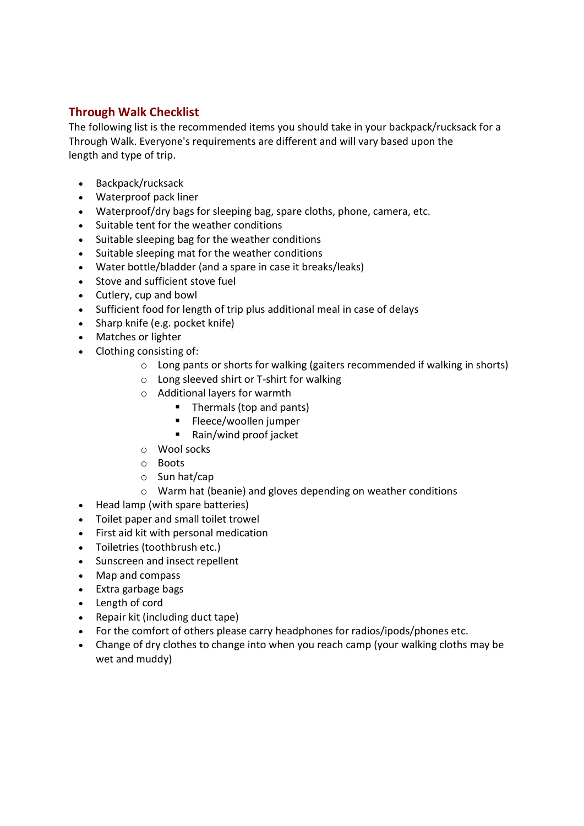## Through Walk Checklist

The following list is the recommended items you should take in your backpack/rucksack for a Through Walk. Everyone's requirements are different and will vary based upon the length and type of trip.

- Backpack/rucksack
- Waterproof pack liner
- Waterproof/dry bags for sleeping bag, spare cloths, phone, camera, etc.
- Suitable tent for the weather conditions
- Suitable sleeping bag for the weather conditions
- Suitable sleeping mat for the weather conditions
- Water bottle/bladder (and a spare in case it breaks/leaks)
- Stove and sufficient stove fuel
- Cutlery, cup and bowl
- Sufficient food for length of trip plus additional meal in case of delays
- Sharp knife (e.g. pocket knife)
- Matches or lighter
- Clothing consisting of:
	- $\circ$  Long pants or shorts for walking (gaiters recommended if walking in shorts)
	- o Long sleeved shirt or T-shirt for walking
	- o Additional layers for warmth
		- Thermals (top and pants)
		- Fleece/woollen jumper
		- Rain/wind proof jacket
	- o Wool socks
	- o Boots
	- o Sun hat/cap
	- o Warm hat (beanie) and gloves depending on weather conditions
- Head lamp (with spare batteries)
- Toilet paper and small toilet trowel
- First aid kit with personal medication
- Toiletries (toothbrush etc.)
- Sunscreen and insect repellent
- Map and compass
- Extra garbage bags
- Length of cord
- Repair kit (including duct tape)
- For the comfort of others please carry headphones for radios/ipods/phones etc.
- Change of dry clothes to change into when you reach camp (your walking cloths may be wet and muddy)